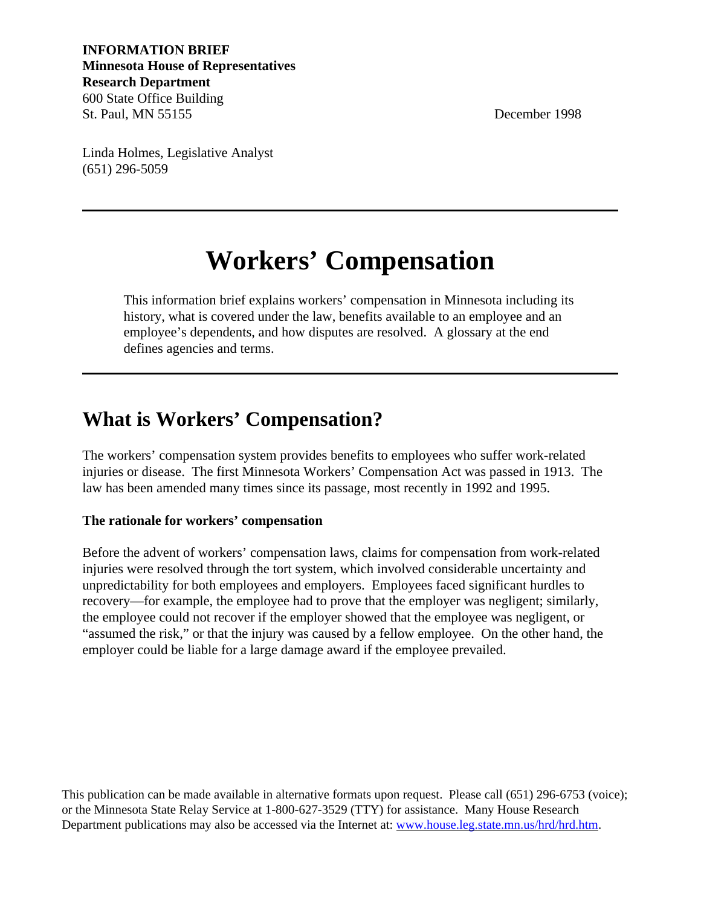**INFORMATION BRIEF Minnesota House of Representatives Research Department** 600 State Office Building St. Paul, MN 55155 December 1998

Linda Holmes, Legislative Analyst (651) 296-5059

# **Workers' Compensation**

This information brief explains workers' compensation in Minnesota including its history, what is covered under the law, benefits available to an employee and an employee's dependents, and how disputes are resolved. A glossary at the end defines agencies and terms.

### **What is Workers' Compensation?**

The workers' compensation system provides benefits to employees who suffer work-related injuries or disease. The first Minnesota Workers' Compensation Act was passed in 1913. The law has been amended many times since its passage, most recently in 1992 and 1995.

#### **The rationale for workers' compensation**

Before the advent of workers' compensation laws, claims for compensation from work-related injuries were resolved through the tort system, which involved considerable uncertainty and unpredictability for both employees and employers. Employees faced significant hurdles to recovery—for example, the employee had to prove that the employer was negligent; similarly, the employee could not recover if the employer showed that the employee was negligent, or "assumed the risk," or that the injury was caused by a fellow employee. On the other hand, the employer could be liable for a large damage award if the employee prevailed.

This publication can be made available in alternative formats upon request. Please call (651) 296-6753 (voice); or the Minnesota State Relay Service at 1-800-627-3529 (TTY) for assistance. Many House Research Department publications may also be accessed via the Internet at[: www.house.leg.state.mn.us/hrd/hrd.htm.](http://www.house.leg.state.mn.us/hrd/hrd.htm)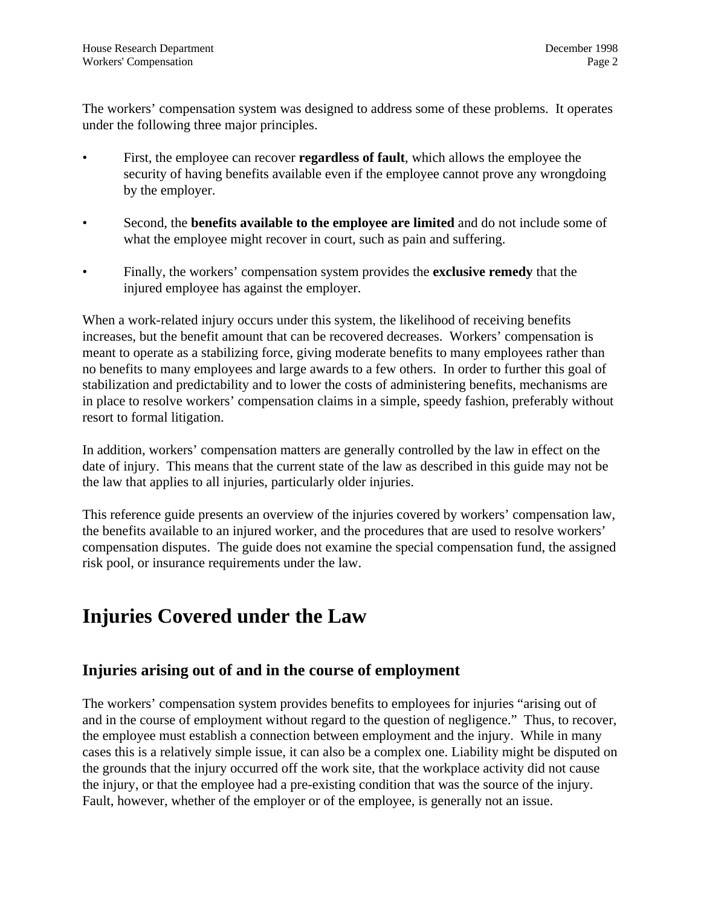The workers' compensation system was designed to address some of these problems. It operates under the following three major principles.

- First, the employee can recover **regardless of fault**, which allows the employee the security of having benefits available even if the employee cannot prove any wrongdoing by the employer.
- Second, the **benefits available to the employee are limited** and do not include some of what the employee might recover in court, such as pain and suffering.
- Finally, the workers' compensation system provides the **exclusive remedy** that the injured employee has against the employer.

When a work-related injury occurs under this system, the likelihood of receiving benefits increases, but the benefit amount that can be recovered decreases. Workers' compensation is meant to operate as a stabilizing force, giving moderate benefits to many employees rather than no benefits to many employees and large awards to a few others. In order to further this goal of stabilization and predictability and to lower the costs of administering benefits, mechanisms are in place to resolve workers' compensation claims in a simple, speedy fashion, preferably without resort to formal litigation.

In addition, workers' compensation matters are generally controlled by the law in effect on the date of injury. This means that the current state of the law as described in this guide may not be the law that applies to all injuries, particularly older injuries.

This reference guide presents an overview of the injuries covered by workers' compensation law, the benefits available to an injured worker, and the procedures that are used to resolve workers' compensation disputes. The guide does not examine the special compensation fund, the assigned risk pool, or insurance requirements under the law.

# **Injuries Covered under the Law**

#### **Injuries arising out of and in the course of employment**

The workers' compensation system provides benefits to employees for injuries "arising out of and in the course of employment without regard to the question of negligence." Thus, to recover, the employee must establish a connection between employment and the injury. While in many cases this is a relatively simple issue, it can also be a complex one. Liability might be disputed on the grounds that the injury occurred off the work site, that the workplace activity did not cause the injury, or that the employee had a pre-existing condition that was the source of the injury. Fault, however, whether of the employer or of the employee, is generally not an issue.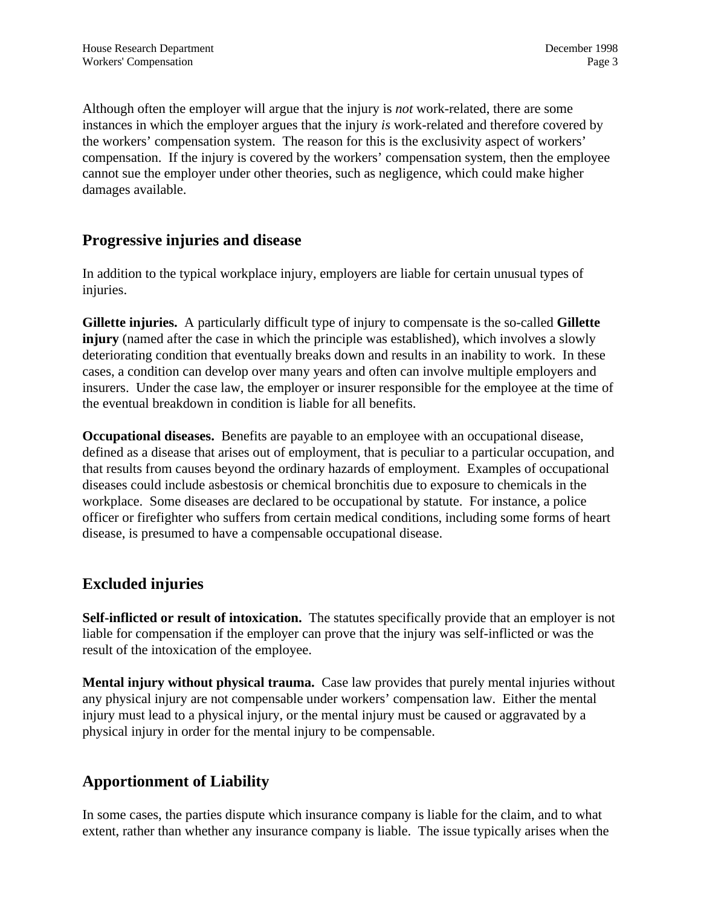Although often the employer will argue that the injury is *not* work-related, there are some instances in which the employer argues that the injury *is* work-related and therefore covered by the workers' compensation system. The reason for this is the exclusivity aspect of workers' compensation. If the injury is covered by the workers' compensation system, then the employee cannot sue the employer under other theories, such as negligence, which could make higher damages available.

#### **Progressive injuries and disease**

In addition to the typical workplace injury, employers are liable for certain unusual types of injuries.

**Gillette injuries.** A particularly difficult type of injury to compensate is the so-called **Gillette injury** (named after the case in which the principle was established), which involves a slowly deteriorating condition that eventually breaks down and results in an inability to work. In these cases, a condition can develop over many years and often can involve multiple employers and insurers. Under the case law, the employer or insurer responsible for the employee at the time of the eventual breakdown in condition is liable for all benefits.

**Occupational diseases.** Benefits are payable to an employee with an occupational disease, defined as a disease that arises out of employment, that is peculiar to a particular occupation, and that results from causes beyond the ordinary hazards of employment. Examples of occupational diseases could include asbestosis or chemical bronchitis due to exposure to chemicals in the workplace. Some diseases are declared to be occupational by statute. For instance, a police officer or firefighter who suffers from certain medical conditions, including some forms of heart disease, is presumed to have a compensable occupational disease.

### **Excluded injuries**

**Self-inflicted or result of intoxication.** The statutes specifically provide that an employer is not liable for compensation if the employer can prove that the injury was self-inflicted or was the result of the intoxication of the employee.

**Mental injury without physical trauma.** Case law provides that purely mental injuries without any physical injury are not compensable under workers' compensation law. Either the mental injury must lead to a physical injury, or the mental injury must be caused or aggravated by a physical injury in order for the mental injury to be compensable.

### **Apportionment of Liability**

In some cases, the parties dispute which insurance company is liable for the claim, and to what extent, rather than whether any insurance company is liable. The issue typically arises when the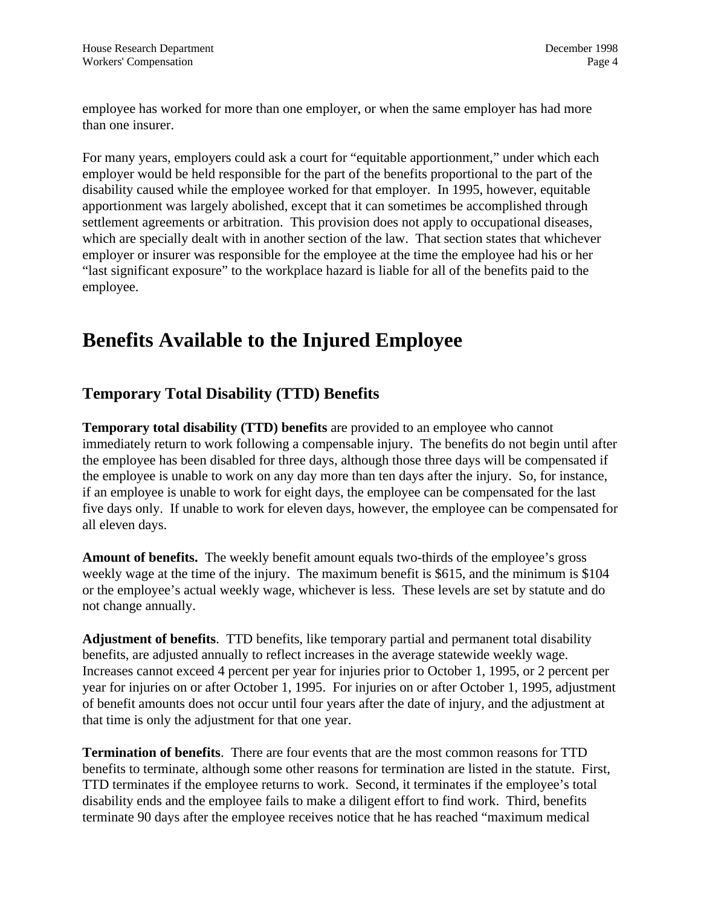employee has worked for more than one employer, or when the same employer has had more than one insurer.

For many years, employers could ask a court for "equitable apportionment," under which each employer would be held responsible for the part of the benefits proportional to the part of the disability caused while the employee worked for that employer. In 1995, however, equitable apportionment was largely abolished, except that it can sometimes be accomplished through settlement agreements or arbitration. This provision does not apply to occupational diseases, which are specially dealt with in another section of the law. That section states that whichever employer or insurer was responsible for the employee at the time the employee had his or her "last significant exposure" to the workplace hazard is liable for all of the benefits paid to the employee.

# **Benefits Available to the Injured Employee**

### **Temporary Total Disability (TTD) Benefits**

**Temporary total disability (TTD) benefits** are provided to an employee who cannot immediately return to work following a compensable injury. The benefits do not begin until after the employee has been disabled for three days, although those three days will be compensated if the employee is unable to work on any day more than ten days after the injury. So, for instance, if an employee is unable to work for eight days, the employee can be compensated for the last five days only. If unable to work for eleven days, however, the employee can be compensated for all eleven days.

**Amount of benefits.** The weekly benefit amount equals two-thirds of the employee's gross weekly wage at the time of the injury. The maximum benefit is \$615, and the minimum is \$104 or the employee's actual weekly wage, whichever is less. These levels are set by statute and do not change annually.

**Adjustment of benefits**. TTD benefits, like temporary partial and permanent total disability benefits, are adjusted annually to reflect increases in the average statewide weekly wage. Increases cannot exceed 4 percent per year for injuries prior to October 1, 1995, or 2 percent per year for injuries on or after October 1, 1995. For injuries on or after October 1, 1995, adjustment of benefit amounts does not occur until four years after the date of injury, and the adjustment at that time is only the adjustment for that one year.

**Termination of benefits**. There are four events that are the most common reasons for TTD benefits to terminate, although some other reasons for termination are listed in the statute. First, TTD terminates if the employee returns to work. Second, it terminates if the employee's total disability ends and the employee fails to make a diligent effort to find work. Third, benefits terminate 90 days after the employee receives notice that he has reached "maximum medical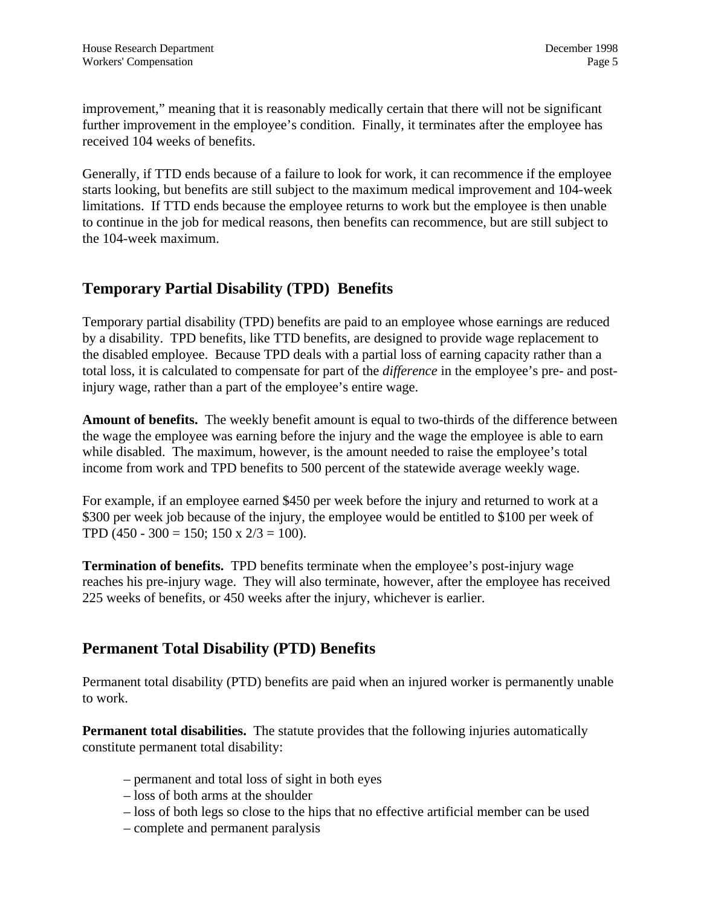improvement," meaning that it is reasonably medically certain that there will not be significant further improvement in the employee's condition. Finally, it terminates after the employee has received 104 weeks of benefits.

Generally, if TTD ends because of a failure to look for work, it can recommence if the employee starts looking, but benefits are still subject to the maximum medical improvement and 104-week limitations. If TTD ends because the employee returns to work but the employee is then unable to continue in the job for medical reasons, then benefits can recommence, but are still subject to the 104-week maximum.

### **Temporary Partial Disability (TPD) Benefits**

Temporary partial disability (TPD) benefits are paid to an employee whose earnings are reduced by a disability. TPD benefits, like TTD benefits, are designed to provide wage replacement to the disabled employee. Because TPD deals with a partial loss of earning capacity rather than a total loss, it is calculated to compensate for part of the *difference* in the employee's pre- and postinjury wage, rather than a part of the employee's entire wage.

**Amount of benefits.** The weekly benefit amount is equal to two-thirds of the difference between the wage the employee was earning before the injury and the wage the employee is able to earn while disabled. The maximum, however, is the amount needed to raise the employee's total income from work and TPD benefits to 500 percent of the statewide average weekly wage.

For example, if an employee earned \$450 per week before the injury and returned to work at a \$300 per week job because of the injury, the employee would be entitled to \$100 per week of TPD (450 - 300 = 150; 150 x  $2/3 = 100$ ).

**Termination of benefits.** TPD benefits terminate when the employee's post-injury wage reaches his pre-injury wage. They will also terminate, however, after the employee has received 225 weeks of benefits, or 450 weeks after the injury, whichever is earlier.

#### **Permanent Total Disability (PTD) Benefits**

Permanent total disability (PTD) benefits are paid when an injured worker is permanently unable to work.

**Permanent total disabilities.** The statute provides that the following injuries automatically constitute permanent total disability:

- permanent and total loss of sight in both eyes
- loss of both arms at the shoulder
- loss of both legs so close to the hips that no effective artificial member can be used
- complete and permanent paralysis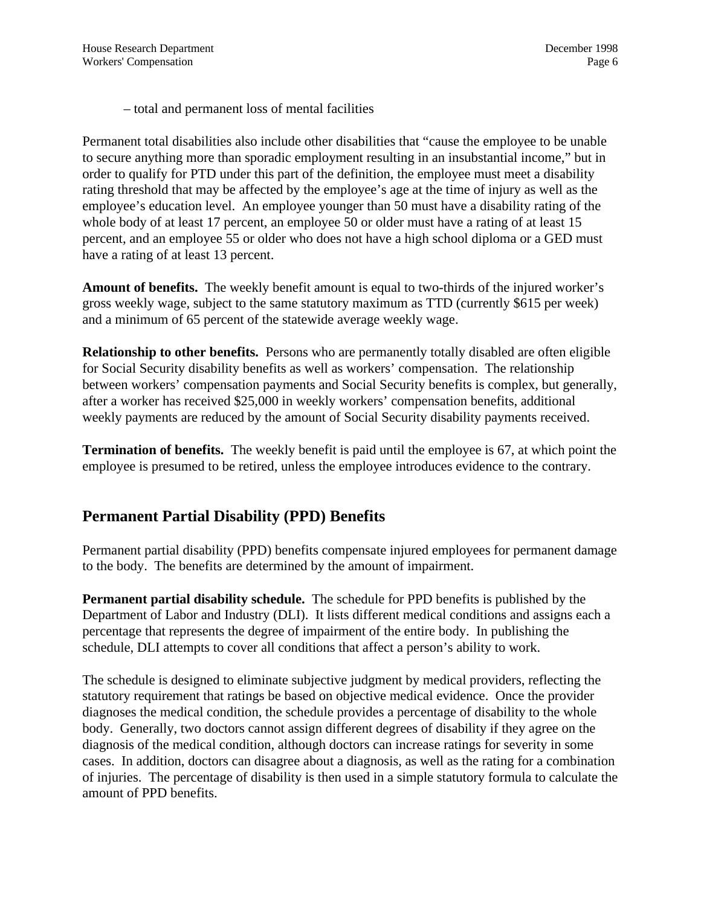– total and permanent loss of mental facilities

Permanent total disabilities also include other disabilities that "cause the employee to be unable to secure anything more than sporadic employment resulting in an insubstantial income," but in order to qualify for PTD under this part of the definition, the employee must meet a disability rating threshold that may be affected by the employee's age at the time of injury as well as the employee's education level. An employee younger than 50 must have a disability rating of the whole body of at least 17 percent, an employee 50 or older must have a rating of at least 15 percent, and an employee 55 or older who does not have a high school diploma or a GED must have a rating of at least 13 percent.

**Amount of benefits.** The weekly benefit amount is equal to two-thirds of the injured worker's gross weekly wage, subject to the same statutory maximum as TTD (currently \$615 per week) and a minimum of 65 percent of the statewide average weekly wage.

**Relationship to other benefits.** Persons who are permanently totally disabled are often eligible for Social Security disability benefits as well as workers' compensation. The relationship between workers' compensation payments and Social Security benefits is complex, but generally, after a worker has received \$25,000 in weekly workers' compensation benefits, additional weekly payments are reduced by the amount of Social Security disability payments received.

**Termination of benefits.** The weekly benefit is paid until the employee is 67, at which point the employee is presumed to be retired, unless the employee introduces evidence to the contrary.

#### **Permanent Partial Disability (PPD) Benefits**

Permanent partial disability (PPD) benefits compensate injured employees for permanent damage to the body. The benefits are determined by the amount of impairment.

**Permanent partial disability schedule.** The schedule for PPD benefits is published by the Department of Labor and Industry (DLI). It lists different medical conditions and assigns each a percentage that represents the degree of impairment of the entire body. In publishing the schedule, DLI attempts to cover all conditions that affect a person's ability to work.

The schedule is designed to eliminate subjective judgment by medical providers, reflecting the statutory requirement that ratings be based on objective medical evidence. Once the provider diagnoses the medical condition, the schedule provides a percentage of disability to the whole body. Generally, two doctors cannot assign different degrees of disability if they agree on the diagnosis of the medical condition, although doctors can increase ratings for severity in some cases. In addition, doctors can disagree about a diagnosis, as well as the rating for a combination of injuries. The percentage of disability is then used in a simple statutory formula to calculate the amount of PPD benefits.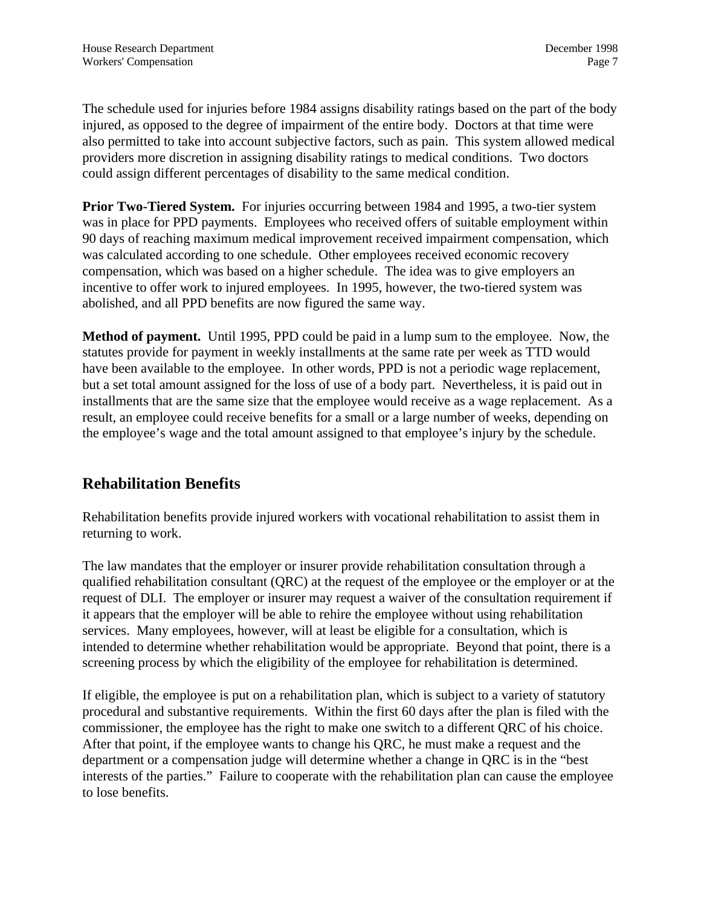The schedule used for injuries before 1984 assigns disability ratings based on the part of the body injured, as opposed to the degree of impairment of the entire body. Doctors at that time were also permitted to take into account subjective factors, such as pain. This system allowed medical providers more discretion in assigning disability ratings to medical conditions. Two doctors could assign different percentages of disability to the same medical condition.

**Prior Two-Tiered System.** For injuries occurring between 1984 and 1995, a two-tier system was in place for PPD payments. Employees who received offers of suitable employment within 90 days of reaching maximum medical improvement received impairment compensation, which was calculated according to one schedule. Other employees received economic recovery compensation, which was based on a higher schedule. The idea was to give employers an incentive to offer work to injured employees. In 1995, however, the two-tiered system was abolished, and all PPD benefits are now figured the same way.

**Method of payment.** Until 1995, PPD could be paid in a lump sum to the employee. Now, the statutes provide for payment in weekly installments at the same rate per week as TTD would have been available to the employee. In other words, PPD is not a periodic wage replacement, but a set total amount assigned for the loss of use of a body part. Nevertheless, it is paid out in installments that are the same size that the employee would receive as a wage replacement. As a result, an employee could receive benefits for a small or a large number of weeks, depending on the employee's wage and the total amount assigned to that employee's injury by the schedule.

### **Rehabilitation Benefits**

Rehabilitation benefits provide injured workers with vocational rehabilitation to assist them in returning to work.

The law mandates that the employer or insurer provide rehabilitation consultation through a qualified rehabilitation consultant (QRC) at the request of the employee or the employer or at the request of DLI. The employer or insurer may request a waiver of the consultation requirement if it appears that the employer will be able to rehire the employee without using rehabilitation services. Many employees, however, will at least be eligible for a consultation, which is intended to determine whether rehabilitation would be appropriate. Beyond that point, there is a screening process by which the eligibility of the employee for rehabilitation is determined.

If eligible, the employee is put on a rehabilitation plan, which is subject to a variety of statutory procedural and substantive requirements. Within the first 60 days after the plan is filed with the commissioner, the employee has the right to make one switch to a different QRC of his choice. After that point, if the employee wants to change his QRC, he must make a request and the department or a compensation judge will determine whether a change in QRC is in the "best interests of the parties." Failure to cooperate with the rehabilitation plan can cause the employee to lose benefits.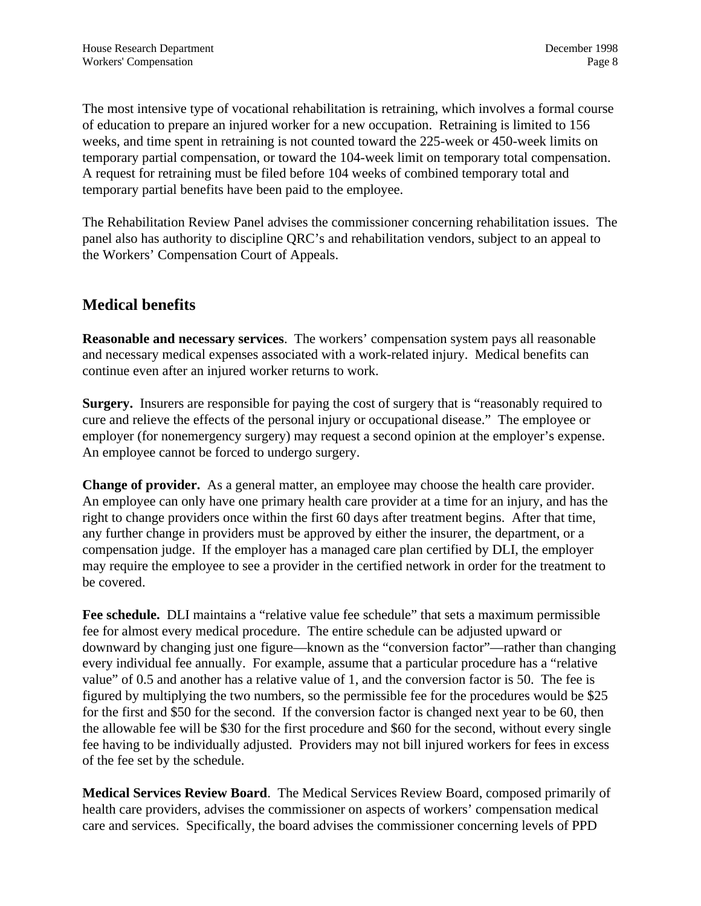The most intensive type of vocational rehabilitation is retraining, which involves a formal course of education to prepare an injured worker for a new occupation. Retraining is limited to 156 weeks, and time spent in retraining is not counted toward the 225-week or 450-week limits on temporary partial compensation, or toward the 104-week limit on temporary total compensation. A request for retraining must be filed before 104 weeks of combined temporary total and temporary partial benefits have been paid to the employee.

The Rehabilitation Review Panel advises the commissioner concerning rehabilitation issues. The panel also has authority to discipline QRC's and rehabilitation vendors, subject to an appeal to the Workers' Compensation Court of Appeals.

#### **Medical benefits**

**Reasonable and necessary services**. The workers' compensation system pays all reasonable and necessary medical expenses associated with a work-related injury. Medical benefits can continue even after an injured worker returns to work.

**Surgery.** Insurers are responsible for paying the cost of surgery that is "reasonably required to cure and relieve the effects of the personal injury or occupational disease." The employee or employer (for nonemergency surgery) may request a second opinion at the employer's expense. An employee cannot be forced to undergo surgery.

**Change of provider.** As a general matter, an employee may choose the health care provider. An employee can only have one primary health care provider at a time for an injury, and has the right to change providers once within the first 60 days after treatment begins. After that time, any further change in providers must be approved by either the insurer, the department, or a compensation judge. If the employer has a managed care plan certified by DLI, the employer may require the employee to see a provider in the certified network in order for the treatment to be covered.

**Fee schedule.** DLI maintains a "relative value fee schedule" that sets a maximum permissible fee for almost every medical procedure. The entire schedule can be adjusted upward or downward by changing just one figure—known as the "conversion factor"—rather than changing every individual fee annually. For example, assume that a particular procedure has a "relative value" of 0.5 and another has a relative value of 1, and the conversion factor is 50. The fee is figured by multiplying the two numbers, so the permissible fee for the procedures would be \$25 for the first and \$50 for the second. If the conversion factor is changed next year to be 60, then the allowable fee will be \$30 for the first procedure and \$60 for the second, without every single fee having to be individually adjusted. Providers may not bill injured workers for fees in excess of the fee set by the schedule.

**Medical Services Review Board**. The Medical Services Review Board, composed primarily of health care providers, advises the commissioner on aspects of workers' compensation medical care and services. Specifically, the board advises the commissioner concerning levels of PPD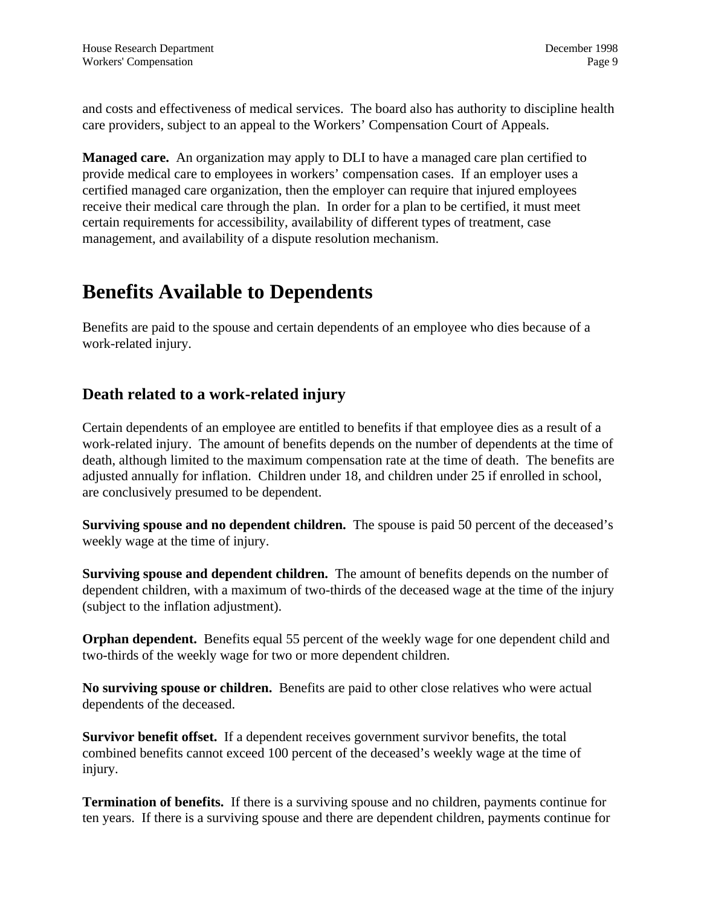and costs and effectiveness of medical services. The board also has authority to discipline health care providers, subject to an appeal to the Workers' Compensation Court of Appeals.

**Managed care.** An organization may apply to DLI to have a managed care plan certified to provide medical care to employees in workers' compensation cases. If an employer uses a certified managed care organization, then the employer can require that injured employees receive their medical care through the plan. In order for a plan to be certified, it must meet certain requirements for accessibility, availability of different types of treatment, case management, and availability of a dispute resolution mechanism.

## **Benefits Available to Dependents**

Benefits are paid to the spouse and certain dependents of an employee who dies because of a work-related injury.

### **Death related to a work-related injury**

Certain dependents of an employee are entitled to benefits if that employee dies as a result of a work-related injury. The amount of benefits depends on the number of dependents at the time of death, although limited to the maximum compensation rate at the time of death. The benefits are adjusted annually for inflation. Children under 18, and children under 25 if enrolled in school, are conclusively presumed to be dependent.

**Surviving spouse and no dependent children.** The spouse is paid 50 percent of the deceased's weekly wage at the time of injury.

**Surviving spouse and dependent children.** The amount of benefits depends on the number of dependent children, with a maximum of two-thirds of the deceased wage at the time of the injury (subject to the inflation adjustment).

**Orphan dependent.** Benefits equal 55 percent of the weekly wage for one dependent child and two-thirds of the weekly wage for two or more dependent children.

**No surviving spouse or children.** Benefits are paid to other close relatives who were actual dependents of the deceased.

**Survivor benefit offset.** If a dependent receives government survivor benefits, the total combined benefits cannot exceed 100 percent of the deceased's weekly wage at the time of injury.

**Termination of benefits.** If there is a surviving spouse and no children, payments continue for ten years. If there is a surviving spouse and there are dependent children, payments continue for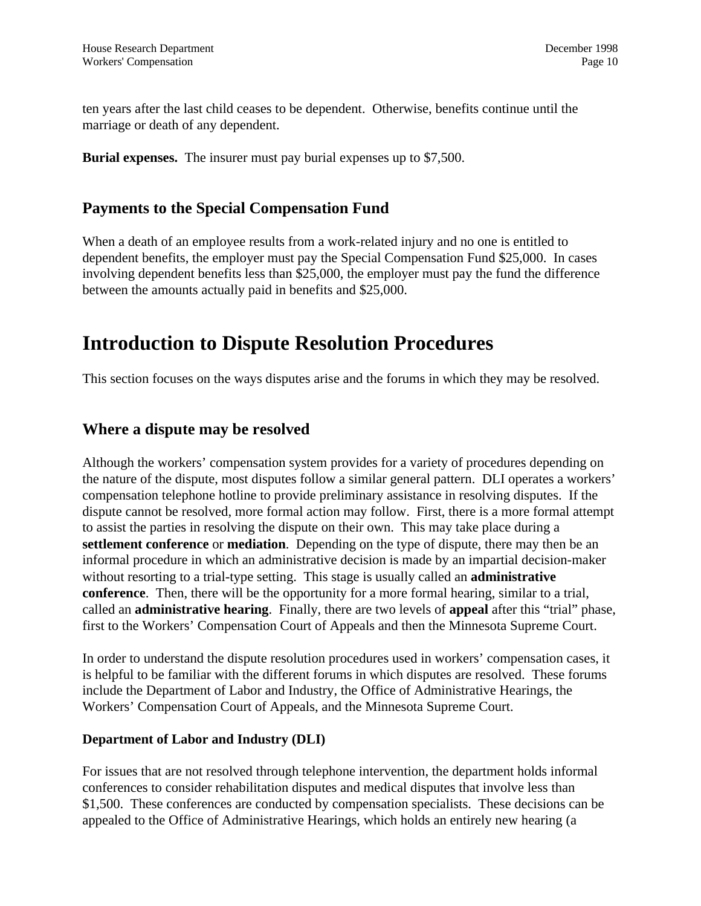ten years after the last child ceases to be dependent. Otherwise, benefits continue until the marriage or death of any dependent.

**Burial expenses.** The insurer must pay burial expenses up to \$7,500.

#### **Payments to the Special Compensation Fund**

When a death of an employee results from a work-related injury and no one is entitled to dependent benefits, the employer must pay the Special Compensation Fund \$25,000. In cases involving dependent benefits less than \$25,000, the employer must pay the fund the difference between the amounts actually paid in benefits and \$25,000.

### **Introduction to Dispute Resolution Procedures**

This section focuses on the ways disputes arise and the forums in which they may be resolved.

#### **Where a dispute may be resolved**

Although the workers' compensation system provides for a variety of procedures depending on the nature of the dispute, most disputes follow a similar general pattern. DLI operates a workers' compensation telephone hotline to provide preliminary assistance in resolving disputes. If the dispute cannot be resolved, more formal action may follow. First, there is a more formal attempt to assist the parties in resolving the dispute on their own. This may take place during a **settlement conference** or **mediation**. Depending on the type of dispute, there may then be an informal procedure in which an administrative decision is made by an impartial decision-maker without resorting to a trial-type setting. This stage is usually called an **administrative conference**. Then, there will be the opportunity for a more formal hearing, similar to a trial, called an **administrative hearing**. Finally, there are two levels of **appeal** after this "trial" phase, first to the Workers' Compensation Court of Appeals and then the Minnesota Supreme Court.

In order to understand the dispute resolution procedures used in workers' compensation cases, it is helpful to be familiar with the different forums in which disputes are resolved. These forums include the Department of Labor and Industry, the Office of Administrative Hearings, the Workers' Compensation Court of Appeals, and the Minnesota Supreme Court.

#### **Department of Labor and Industry (DLI)**

For issues that are not resolved through telephone intervention, the department holds informal conferences to consider rehabilitation disputes and medical disputes that involve less than \$1,500. These conferences are conducted by compensation specialists. These decisions can be appealed to the Office of Administrative Hearings, which holds an entirely new hearing (a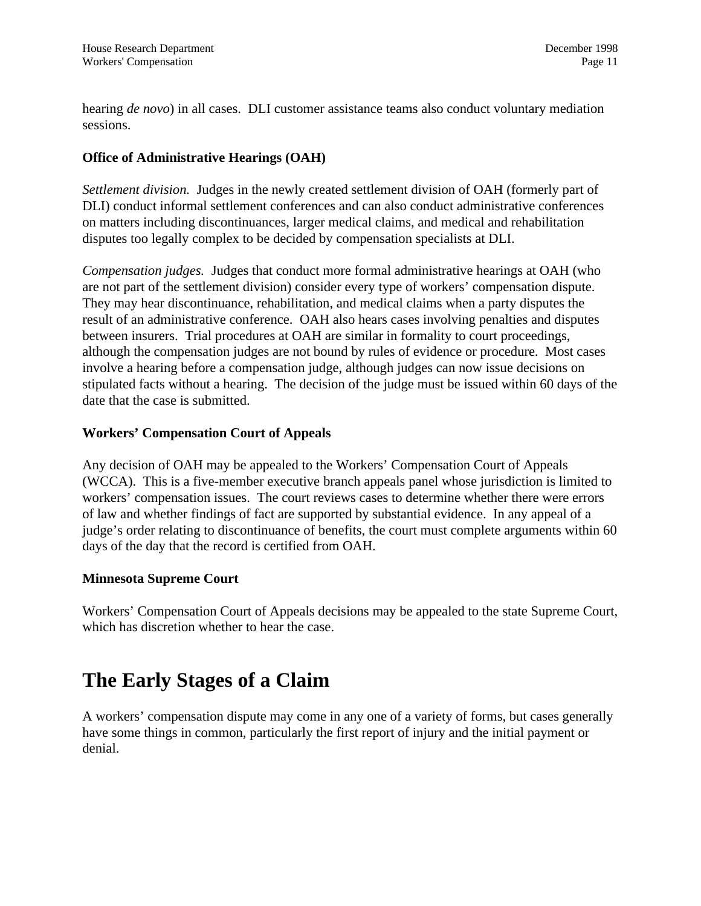hearing *de novo*) in all cases. DLI customer assistance teams also conduct voluntary mediation sessions.

#### **Office of Administrative Hearings (OAH)**

*Settlement division.* Judges in the newly created settlement division of OAH (formerly part of DLI) conduct informal settlement conferences and can also conduct administrative conferences on matters including discontinuances, larger medical claims, and medical and rehabilitation disputes too legally complex to be decided by compensation specialists at DLI.

*Compensation judges.* Judges that conduct more formal administrative hearings at OAH (who are not part of the settlement division) consider every type of workers' compensation dispute. They may hear discontinuance, rehabilitation, and medical claims when a party disputes the result of an administrative conference. OAH also hears cases involving penalties and disputes between insurers. Trial procedures at OAH are similar in formality to court proceedings, although the compensation judges are not bound by rules of evidence or procedure. Most cases involve a hearing before a compensation judge, although judges can now issue decisions on stipulated facts without a hearing. The decision of the judge must be issued within 60 days of the date that the case is submitted.

#### **Workers' Compensation Court of Appeals**

Any decision of OAH may be appealed to the Workers' Compensation Court of Appeals (WCCA). This is a five-member executive branch appeals panel whose jurisdiction is limited to workers' compensation issues. The court reviews cases to determine whether there were errors of law and whether findings of fact are supported by substantial evidence. In any appeal of a judge's order relating to discontinuance of benefits, the court must complete arguments within 60 days of the day that the record is certified from OAH.

#### **Minnesota Supreme Court**

Workers' Compensation Court of Appeals decisions may be appealed to the state Supreme Court, which has discretion whether to hear the case.

# **The Early Stages of a Claim**

A workers' compensation dispute may come in any one of a variety of forms, but cases generally have some things in common, particularly the first report of injury and the initial payment or denial.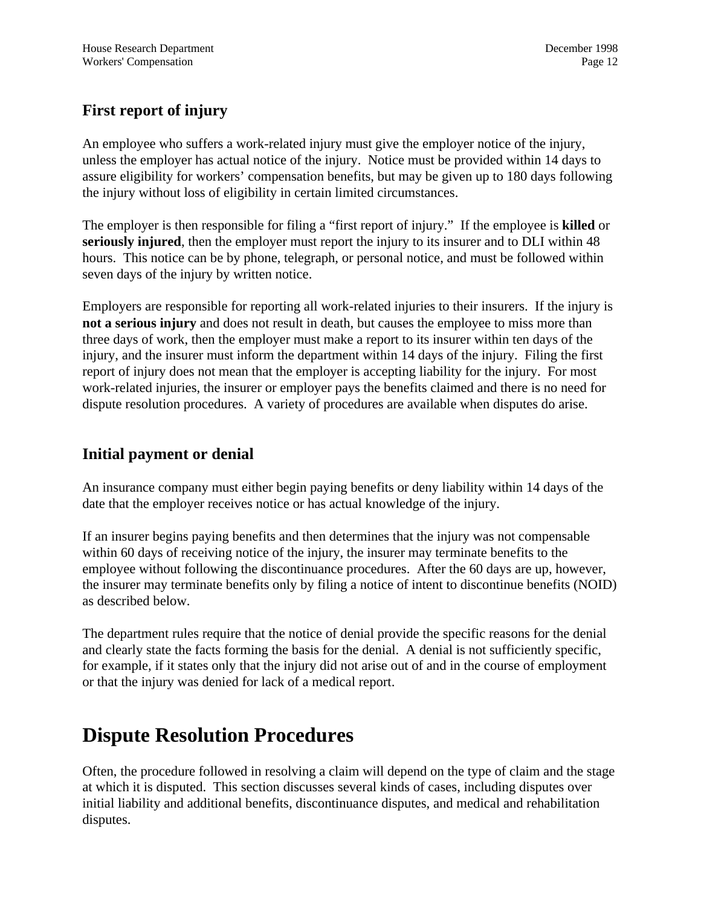### **First report of injury**

An employee who suffers a work-related injury must give the employer notice of the injury, unless the employer has actual notice of the injury. Notice must be provided within 14 days to assure eligibility for workers' compensation benefits, but may be given up to 180 days following the injury without loss of eligibility in certain limited circumstances.

The employer is then responsible for filing a "first report of injury." If the employee is **killed** or **seriously injured**, then the employer must report the injury to its insurer and to DLI within 48 hours. This notice can be by phone, telegraph, or personal notice, and must be followed within seven days of the injury by written notice.

Employers are responsible for reporting all work-related injuries to their insurers. If the injury is **not a serious injury** and does not result in death, but causes the employee to miss more than three days of work, then the employer must make a report to its insurer within ten days of the injury, and the insurer must inform the department within 14 days of the injury. Filing the first report of injury does not mean that the employer is accepting liability for the injury. For most work-related injuries, the insurer or employer pays the benefits claimed and there is no need for dispute resolution procedures. A variety of procedures are available when disputes do arise.

#### **Initial payment or denial**

An insurance company must either begin paying benefits or deny liability within 14 days of the date that the employer receives notice or has actual knowledge of the injury.

If an insurer begins paying benefits and then determines that the injury was not compensable within 60 days of receiving notice of the injury, the insurer may terminate benefits to the employee without following the discontinuance procedures. After the 60 days are up, however, the insurer may terminate benefits only by filing a notice of intent to discontinue benefits (NOID) as described below.

The department rules require that the notice of denial provide the specific reasons for the denial and clearly state the facts forming the basis for the denial. A denial is not sufficiently specific, for example, if it states only that the injury did not arise out of and in the course of employment or that the injury was denied for lack of a medical report.

# **Dispute Resolution Procedures**

Often, the procedure followed in resolving a claim will depend on the type of claim and the stage at which it is disputed. This section discusses several kinds of cases, including disputes over initial liability and additional benefits, discontinuance disputes, and medical and rehabilitation disputes.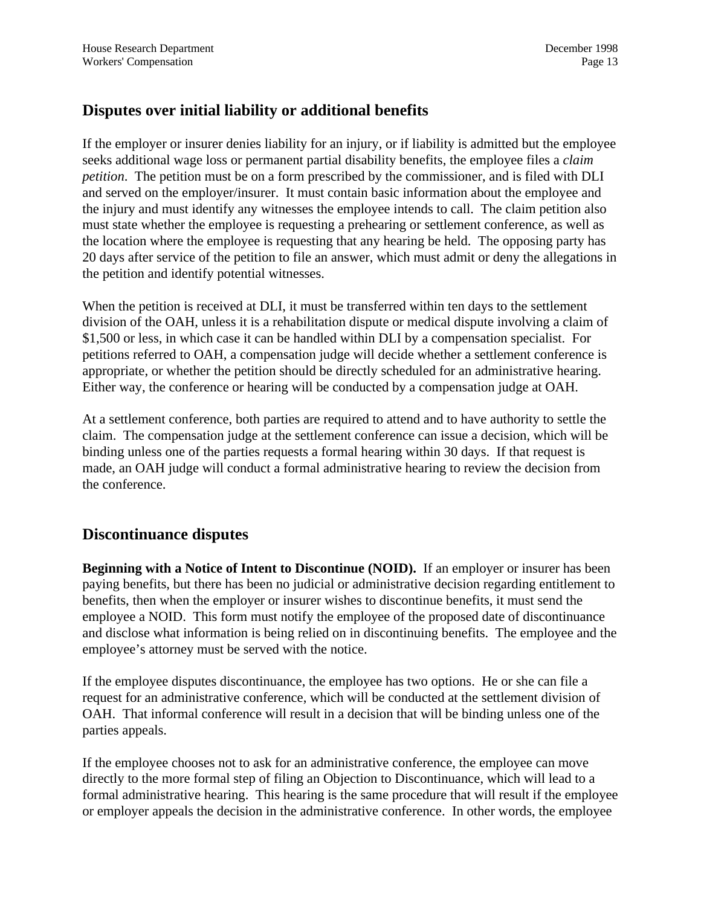#### **Disputes over initial liability or additional benefits**

If the employer or insurer denies liability for an injury, or if liability is admitted but the employee seeks additional wage loss or permanent partial disability benefits, the employee files a *claim petition*. The petition must be on a form prescribed by the commissioner, and is filed with DLI and served on the employer/insurer. It must contain basic information about the employee and the injury and must identify any witnesses the employee intends to call. The claim petition also must state whether the employee is requesting a prehearing or settlement conference, as well as the location where the employee is requesting that any hearing be held. The opposing party has 20 days after service of the petition to file an answer, which must admit or deny the allegations in the petition and identify potential witnesses.

When the petition is received at DLI, it must be transferred within ten days to the settlement division of the OAH, unless it is a rehabilitation dispute or medical dispute involving a claim of \$1,500 or less, in which case it can be handled within DLI by a compensation specialist. For petitions referred to OAH, a compensation judge will decide whether a settlement conference is appropriate, or whether the petition should be directly scheduled for an administrative hearing. Either way, the conference or hearing will be conducted by a compensation judge at OAH.

At a settlement conference, both parties are required to attend and to have authority to settle the claim. The compensation judge at the settlement conference can issue a decision, which will be binding unless one of the parties requests a formal hearing within 30 days. If that request is made, an OAH judge will conduct a formal administrative hearing to review the decision from the conference.

#### **Discontinuance disputes**

**Beginning with a Notice of Intent to Discontinue (NOID).** If an employer or insurer has been paying benefits, but there has been no judicial or administrative decision regarding entitlement to benefits, then when the employer or insurer wishes to discontinue benefits, it must send the employee a NOID. This form must notify the employee of the proposed date of discontinuance and disclose what information is being relied on in discontinuing benefits. The employee and the employee's attorney must be served with the notice.

If the employee disputes discontinuance, the employee has two options. He or she can file a request for an administrative conference, which will be conducted at the settlement division of OAH. That informal conference will result in a decision that will be binding unless one of the parties appeals.

If the employee chooses not to ask for an administrative conference, the employee can move directly to the more formal step of filing an Objection to Discontinuance, which will lead to a formal administrative hearing. This hearing is the same procedure that will result if the employee or employer appeals the decision in the administrative conference. In other words, the employee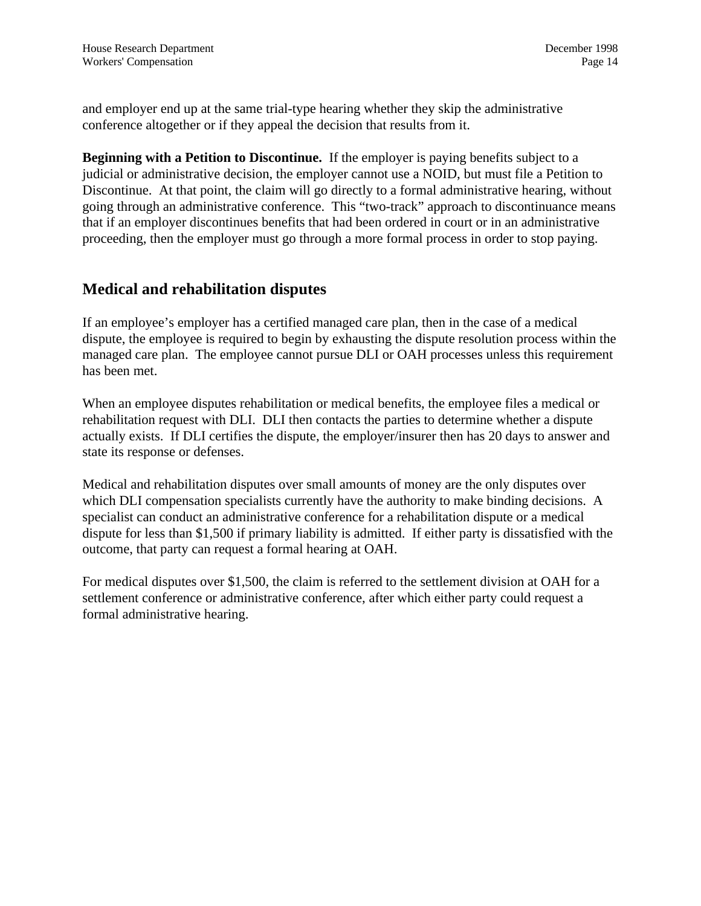and employer end up at the same trial-type hearing whether they skip the administrative conference altogether or if they appeal the decision that results from it.

**Beginning with a Petition to Discontinue.** If the employer is paying benefits subject to a judicial or administrative decision, the employer cannot use a NOID, but must file a Petition to Discontinue. At that point, the claim will go directly to a formal administrative hearing, without going through an administrative conference. This "two-track" approach to discontinuance means that if an employer discontinues benefits that had been ordered in court or in an administrative proceeding, then the employer must go through a more formal process in order to stop paying.

#### **Medical and rehabilitation disputes**

If an employee's employer has a certified managed care plan, then in the case of a medical dispute, the employee is required to begin by exhausting the dispute resolution process within the managed care plan. The employee cannot pursue DLI or OAH processes unless this requirement has been met.

When an employee disputes rehabilitation or medical benefits, the employee files a medical or rehabilitation request with DLI. DLI then contacts the parties to determine whether a dispute actually exists. If DLI certifies the dispute, the employer/insurer then has 20 days to answer and state its response or defenses.

Medical and rehabilitation disputes over small amounts of money are the only disputes over which DLI compensation specialists currently have the authority to make binding decisions. A specialist can conduct an administrative conference for a rehabilitation dispute or a medical dispute for less than \$1,500 if primary liability is admitted. If either party is dissatisfied with the outcome, that party can request a formal hearing at OAH.

For medical disputes over \$1,500, the claim is referred to the settlement division at OAH for a settlement conference or administrative conference, after which either party could request a formal administrative hearing.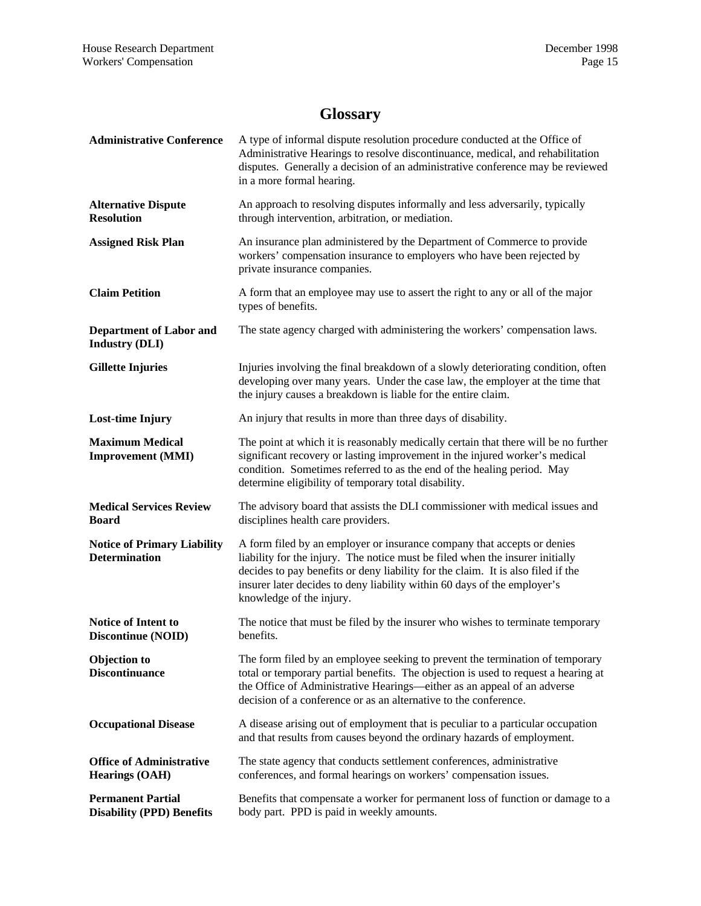### **Glossary**

| <b>Administrative Conference</b>                             | A type of informal dispute resolution procedure conducted at the Office of<br>Administrative Hearings to resolve discontinuance, medical, and rehabilitation<br>disputes. Generally a decision of an administrative conference may be reviewed<br>in a more formal hearing.                                                                          |
|--------------------------------------------------------------|------------------------------------------------------------------------------------------------------------------------------------------------------------------------------------------------------------------------------------------------------------------------------------------------------------------------------------------------------|
| <b>Alternative Dispute</b><br><b>Resolution</b>              | An approach to resolving disputes informally and less adversarily, typically<br>through intervention, arbitration, or mediation.                                                                                                                                                                                                                     |
| <b>Assigned Risk Plan</b>                                    | An insurance plan administered by the Department of Commerce to provide<br>workers' compensation insurance to employers who have been rejected by<br>private insurance companies.                                                                                                                                                                    |
| <b>Claim Petition</b>                                        | A form that an employee may use to assert the right to any or all of the major<br>types of benefits.                                                                                                                                                                                                                                                 |
| <b>Department of Labor and</b><br><b>Industry (DLI)</b>      | The state agency charged with administering the workers' compensation laws.                                                                                                                                                                                                                                                                          |
| <b>Gillette Injuries</b>                                     | Injuries involving the final breakdown of a slowly deteriorating condition, often<br>developing over many years. Under the case law, the employer at the time that<br>the injury causes a breakdown is liable for the entire claim.                                                                                                                  |
| <b>Lost-time Injury</b>                                      | An injury that results in more than three days of disability.                                                                                                                                                                                                                                                                                        |
| <b>Maximum Medical</b><br><b>Improvement (MMI)</b>           | The point at which it is reasonably medically certain that there will be no further<br>significant recovery or lasting improvement in the injured worker's medical<br>condition. Sometimes referred to as the end of the healing period. May<br>determine eligibility of temporary total disability.                                                 |
| <b>Medical Services Review</b><br><b>Board</b>               | The advisory board that assists the DLI commissioner with medical issues and<br>disciplines health care providers.                                                                                                                                                                                                                                   |
| <b>Notice of Primary Liability</b><br><b>Determination</b>   | A form filed by an employer or insurance company that accepts or denies<br>liability for the injury. The notice must be filed when the insurer initially<br>decides to pay benefits or deny liability for the claim. It is also filed if the<br>insurer later decides to deny liability within 60 days of the employer's<br>knowledge of the injury. |
| Notice of Intent to<br>Discontinue (NOID)                    | The notice that must be filed by the insurer who wishes to terminate temporary<br>benefits.                                                                                                                                                                                                                                                          |
| <b>Objection</b> to<br><b>Discontinuance</b>                 | The form filed by an employee seeking to prevent the termination of temporary<br>total or temporary partial benefits. The objection is used to request a hearing at<br>the Office of Administrative Hearings—either as an appeal of an adverse<br>decision of a conference or as an alternative to the conference.                                   |
| <b>Occupational Disease</b>                                  | A disease arising out of employment that is peculiar to a particular occupation<br>and that results from causes beyond the ordinary hazards of employment.                                                                                                                                                                                           |
| <b>Office of Administrative</b><br><b>Hearings (OAH)</b>     | The state agency that conducts settlement conferences, administrative<br>conferences, and formal hearings on workers' compensation issues.                                                                                                                                                                                                           |
| <b>Permanent Partial</b><br><b>Disability (PPD) Benefits</b> | Benefits that compensate a worker for permanent loss of function or damage to a<br>body part. PPD is paid in weekly amounts.                                                                                                                                                                                                                         |